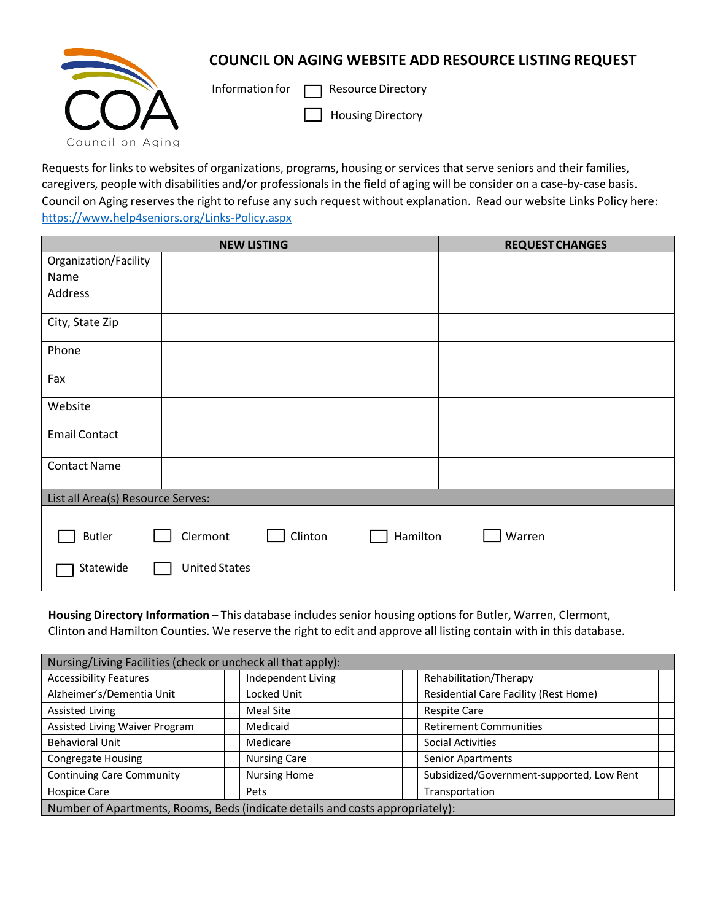## **COUNCIL ON AGING WEBSITE ADD RESOURCE LISTING REQUEST**



Information for  $\Box$  Resource Directory

Housing Directory

Requests for links to websites of organizations, programs, housing or services that serve seniors and their families, caregivers, people with disabilities and/or professionals in the field of aging will be consider on a case‐by‐case basis. Council on Aging reserves the right to refuse any such request without explanation. Read our website Links Policy here: [https://www.help4seniors.org/Links‐Policy.aspx](http://www.help4seniors.org/Links)

|                                   | <b>NEW LISTING</b>              | <b>REQUEST CHANGES</b> |  |  |  |
|-----------------------------------|---------------------------------|------------------------|--|--|--|
| Organization/Facility             |                                 |                        |  |  |  |
| Name                              |                                 |                        |  |  |  |
| Address                           |                                 |                        |  |  |  |
| City, State Zip                   |                                 |                        |  |  |  |
| Phone                             |                                 |                        |  |  |  |
| Fax                               |                                 |                        |  |  |  |
| Website                           |                                 |                        |  |  |  |
| <b>Email Contact</b>              |                                 |                        |  |  |  |
| <b>Contact Name</b>               |                                 |                        |  |  |  |
| List all Area(s) Resource Serves: |                                 |                        |  |  |  |
|                                   |                                 |                        |  |  |  |
| <b>Butler</b>                     | Clermont<br>Clinton<br>Hamilton | Warren                 |  |  |  |
| Statewide                         | <b>United States</b>            |                        |  |  |  |

**Housing Directory Information** – This database includes senior housing optionsfor Butler, Warren, Clermont, Clinton and Hamilton Counties. We reserve the right to edit and approve all listing contain with in this database.

| Nursing/Living Facilities (check or uncheck all that apply):                  |                     |                                              |  |  |  |  |
|-------------------------------------------------------------------------------|---------------------|----------------------------------------------|--|--|--|--|
| <b>Accessibility Features</b>                                                 | Independent Living  | Rehabilitation/Therapy                       |  |  |  |  |
| Alzheimer's/Dementia Unit                                                     | Locked Unit         | <b>Residential Care Facility (Rest Home)</b> |  |  |  |  |
| Assisted Living                                                               | Meal Site           | <b>Respite Care</b>                          |  |  |  |  |
| Assisted Living Waiver Program                                                | Medicaid            | <b>Retirement Communities</b>                |  |  |  |  |
| <b>Behavioral Unit</b>                                                        | Medicare            | Social Activities                            |  |  |  |  |
| <b>Congregate Housing</b>                                                     | <b>Nursing Care</b> | <b>Senior Apartments</b>                     |  |  |  |  |
| <b>Continuing Care Community</b>                                              | <b>Nursing Home</b> | Subsidized/Government-supported, Low Rent    |  |  |  |  |
| Hospice Care                                                                  | Pets                | Transportation                               |  |  |  |  |
| Number of Apartments, Rooms, Beds (indicate details and costs appropriately): |                     |                                              |  |  |  |  |